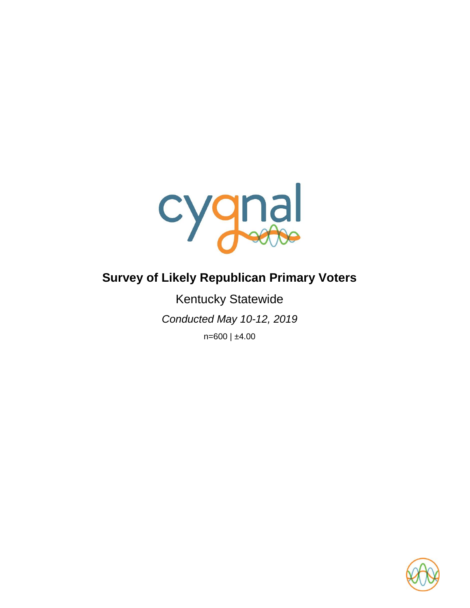

# **Survey of Likely Republican Primary Voters**

Kentucky Statewide *Conducted May 10-12, 2019* n=600 | ±4.00

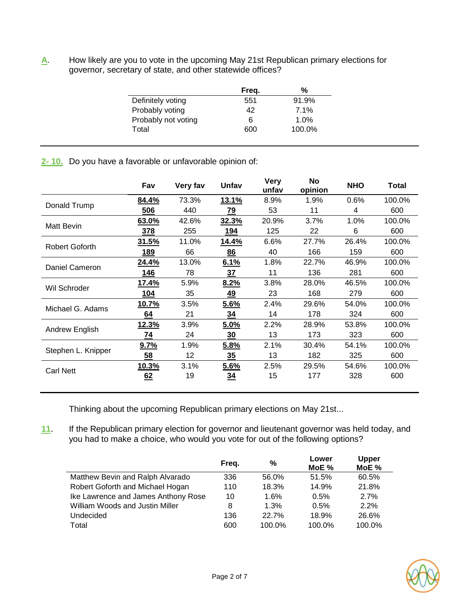**A**. How likely are you to vote in the upcoming May 21st Republican primary elections for governor, secretary of state, and other statewide offices?

|                     | Freq. | %      |
|---------------------|-------|--------|
| Definitely voting   | 551   | 91.9%  |
| Probably voting     | 42    | 7.1%   |
| Probably not voting | 6     | 1.0%   |
| Total               | 600   | 100.0% |
|                     |       |        |

# **2- 10.** Do you have a favorable or unfavorable opinion of:

|                    | Fav          | Very fav | Unfav          | <b>Very</b><br>unfav | No<br>opinion | <b>NHO</b> | Total  |
|--------------------|--------------|----------|----------------|----------------------|---------------|------------|--------|
| Donald Trump       | 84.4%        | 73.3%    | 13.1%          | 8.9%                 | 1.9%          | 0.6%       | 100.0% |
|                    | 506          | 440      | 79             | 53                   | 11            | 4          | 600    |
| Matt Bevin         | 63.0%        | 42.6%    | 32.3%          | 20.9%                | 3.7%          | 1.0%       | 100.0% |
|                    | <b>378</b>   | 255      | 194            | 125                  | 22            | 6          | 600    |
| Robert Goforth     | 31.5%        | 11.0%    | 14.4%          | 6.6%                 | 27.7%         | 26.4%      | 100.0% |
|                    | 189          | 66       | 86             | 40                   | 166           | 159        | 600    |
| Daniel Cameron     | 24.4%        | 13.0%    | 6.1%           | 1.8%                 | 22.7%         | 46.9%      | 100.0% |
|                    | 146          | 78       | 37             | 11                   | 136           | 281        | 600    |
| Wil Schroder       | 17.4%        | 5.9%     | 8.2%           | 3.8%                 | 28.0%         | 46.5%      | 100.0% |
|                    | 104          | 35       | 49             | 23                   | 168           | 279        | 600    |
| Michael G. Adams   | 10.7%        | 3.5%     | 5.6%           | 2.4%                 | 29.6%         | 54.0%      | 100.0% |
|                    | 64           | 21       | 34             | 14                   | 178           | 324        | 600    |
| Andrew English     | <u>12.3%</u> | 3.9%     | 5.0%           | 2.2%                 | 28.9%         | 53.8%      | 100.0% |
|                    | 74           | 24       | 30             | 13                   | 173           | 323        | 600    |
| Stephen L. Knipper | 9.7%         | 1.9%     | 5.8%           | 2.1%                 | 30.4%         | 54.1%      | 100.0% |
|                    | 58           | 12       | $\frac{35}{5}$ | 13                   | 182           | 325        | 600    |
| <b>Carl Nett</b>   | 10.3%        | 3.1%     | 5.6%           | 2.5%                 | 29.5%         | 54.6%      | 100.0% |
|                    | 62           | 19       | 34             | 15                   | 177           | 328        | 600    |
|                    |              |          |                |                      |               |            |        |

Thinking about the upcoming Republican primary elections on May 21st...

**11**. If the Republican primary election for governor and lieutenant governor was held today, and you had to make a choice, who would you vote for out of the following options?

|                                     | Freq. | %      | Lower<br>MOE% | <b>Upper</b><br>MoE % |
|-------------------------------------|-------|--------|---------------|-----------------------|
| Matthew Bevin and Ralph Alvarado    | 336   | 56.0%  | 51.5%         | 60.5%                 |
| Robert Goforth and Michael Hogan    | 110   | 18.3%  | 14.9%         | 21.8%                 |
| Ike Lawrence and James Anthony Rose | 10    | 1.6%   | 0.5%          | 2.7%                  |
| William Woods and Justin Miller     | 8     | 1.3%   | 0.5%          | 2.2%                  |
| Undecided                           | 136   | 22.7%  | 18.9%         | 26.6%                 |
| Total                               | 600   | 100.0% | 100.0%        | 100.0%                |

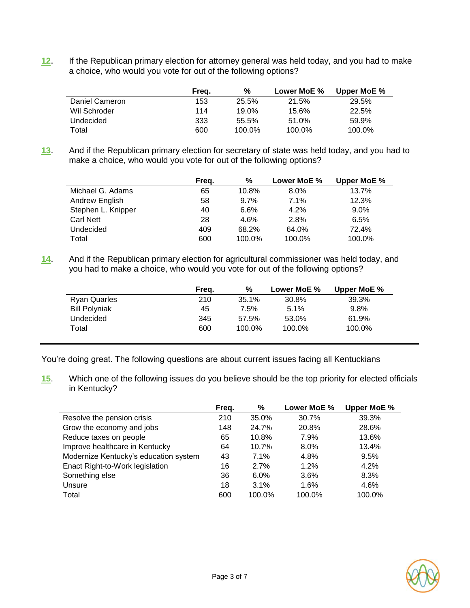**12**. If the Republican primary election for attorney general was held today, and you had to make a choice, who would you vote for out of the following options?

|                | Freg. | %      | Lower MoE % | Upper MoE % |
|----------------|-------|--------|-------------|-------------|
| Daniel Cameron | 153   | 25.5%  | 21.5%       | 29.5%       |
| Wil Schroder   | 114   | 19.0%  | 15.6%       | 22.5%       |
| Undecided      | 333   | 55.5%  | 51.0%       | 59.9%       |
| Total          | 600   | 100.0% | 100.0%      | 100.0%      |

**13**. And if the Republican primary election for secretary of state was held today, and you had to make a choice, who would you vote for out of the following options?

|                    | Freq. | %      | Lower MoE % | Upper MoE % |
|--------------------|-------|--------|-------------|-------------|
| Michael G. Adams   | 65    | 10.8%  | 8.0%        | 13.7%       |
| Andrew English     | 58    | 9.7%   | 7.1%        | 12.3%       |
| Stephen L. Knipper | 40    | 6.6%   | 4.2%        | $9.0\%$     |
| Carl Nett          | 28    | 4.6%   | 2.8%        | 6.5%        |
| Undecided          | 409   | 68.2%  | 64.0%       | 72.4%       |
| Total              | 600   | 100.0% | 100.0%      | 100.0%      |

**14**. And if the Republican primary election for agricultural commissioner was held today, and you had to make a choice, who would you vote for out of the following options?

|                      | Frea. | %      | Lower MoE % | Upper MoE % |
|----------------------|-------|--------|-------------|-------------|
| <b>Ryan Quarles</b>  | 210   | 35.1%  | 30.8%       | 39.3%       |
| <b>Bill Polyniak</b> | 45    | 7.5%   | 5.1%        | 9.8%        |
| Undecided            | 345   | 57.5%  | 53.0%       | 61.9%       |
| Total                | 600   | 100.0% | 100.0%      | 100.0%      |

You're doing great. The following questions are about current issues facing all Kentuckians

**15**. Which one of the following issues do you believe should be the top priority for elected officials in Kentucky?

|                                       | Freq. | ℅      | Lower MoE % | Upper MoE % |
|---------------------------------------|-------|--------|-------------|-------------|
| Resolve the pension crisis            | 210   | 35.0%  | 30.7%       | 39.3%       |
| Grow the economy and jobs             | 148   | 24.7%  | 20.8%       | 28.6%       |
| Reduce taxes on people                | 65    | 10.8%  | 7.9%        | 13.6%       |
| Improve healthcare in Kentucky        | 64    | 10.7%  | $8.0\%$     | 13.4%       |
| Modernize Kentucky's education system | 43    | 7.1%   | 4.8%        | 9.5%        |
| Enact Right-to-Work legislation       | 16    | 2.7%   | 1.2%        | 4.2%        |
| Something else                        | 36    | 6.0%   | 3.6%        | 8.3%        |
| Unsure                                | 18    | 3.1%   | 1.6%        | 4.6%        |
| Total                                 | 600   | 100.0% | 100.0%      | 100.0%      |

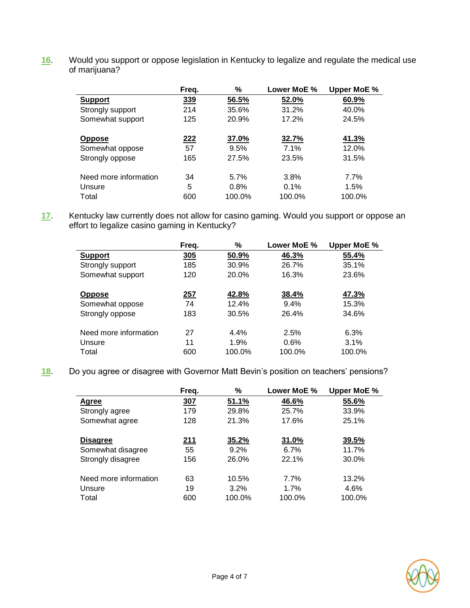**16**. Would you support or oppose legislation in Kentucky to legalize and regulate the medical use of marijuana?

|                       | Freq.      | ℅      | Lower MoE % | Upper MoE % |
|-----------------------|------------|--------|-------------|-------------|
| <b>Support</b>        | <u>339</u> | 56.5%  | 52.0%       | 60.9%       |
| Strongly support      | 214        | 35.6%  | 31.2%       | 40.0%       |
| Somewhat support      | 125        | 20.9%  | 17.2%       | 24.5%       |
| <b>Oppose</b>         | <u>222</u> | 37.0%  | 32.7%       | 41.3%       |
| Somewhat oppose       | 57         | 9.5%   | 7.1%        | 12.0%       |
| Strongly oppose       | 165        | 27.5%  | 23.5%       | 31.5%       |
| Need more information | 34         | 5.7%   | 3.8%        | 7.7%        |
| Unsure                | 5          | 0.8%   | 0.1%        | 1.5%        |
| Total                 | 600        | 100.0% | 100.0%      | 100.0%      |

**17**. Kentucky law currently does not allow for casino gaming. Would you support or oppose an effort to legalize casino gaming in Kentucky?

|                       | Freq.      | ℅      | Lower MoE % | Upper MoE % |
|-----------------------|------------|--------|-------------|-------------|
| <b>Support</b>        | 305        | 50.9%  | 46.3%       | 55.4%       |
| Strongly support      | 185        | 30.9%  | 26.7%       | 35.1%       |
| Somewhat support      | 120        | 20.0%  | 16.3%       | 23.6%       |
| <b>Oppose</b>         | <u>257</u> | 42.8%  | 38.4%       | 47.3%       |
| Somewhat oppose       | 74         | 12.4%  | 9.4%        | 15.3%       |
| Strongly oppose       | 183        | 30.5%  | 26.4%       | 34.6%       |
| Need more information | 27         | 4.4%   | 2.5%        | 6.3%        |
| Unsure                | 11         | 1.9%   | 0.6%        | 3.1%        |
| Total                 | 600        | 100.0% | 100.0%      | 100.0%      |

**18**. Do you agree or disagree with Governor Matt Bevin's position on teachers' pensions?

|                       | Freq. | %       | Lower MoE % | Upper MoE % |
|-----------------------|-------|---------|-------------|-------------|
| Agree                 | 307   | 51.1%   | 46.6%       | 55.6%       |
| Strongly agree        | 179   | 29.8%   | 25.7%       | 33.9%       |
| Somewhat agree        | 128   | 21.3%   | 17.6%       | 25.1%       |
| <b>Disagree</b>       | 211   | 35.2%   | 31.0%       | 39.5%       |
| Somewhat disagree     | 55    | $9.2\%$ | 6.7%        | 11.7%       |
| Strongly disagree     | 156   | 26.0%   | 22.1%       | 30.0%       |
| Need more information | 63    | 10.5%   | 7.7%        | 13.2%       |
| Unsure                | 19    | 3.2%    | 1.7%        | 4.6%        |
| Total                 | 600   | 100.0%  | 100.0%      | 100.0%      |

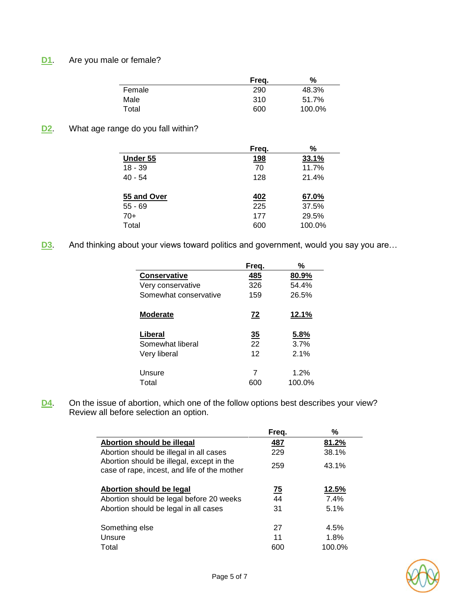# **D1**. Are you male or female?

|        | Freg. | %      |
|--------|-------|--------|
| Female | 290   | 48.3%  |
| Male   | 310   | 51.7%  |
| Total  | 600   | 100.0% |

**D2**. What age range do you fall within?

|             | Freq.      | %      |
|-------------|------------|--------|
| Under 55    | <u>198</u> | 33.1%  |
| $18 - 39$   | 70         | 11.7%  |
| $40 - 54$   | 128        | 21.4%  |
|             |            |        |
| 55 and Over | 402        | 67.0%  |
| $55 - 69$   | 225        | 37.5%  |
| $70+$       | 177        | 29.5%  |
| Total       | 600        | 100.0% |

**D3**. And thinking about your views toward politics and government, would you say you are...

|                       | Freq.          | %      |
|-----------------------|----------------|--------|
| <b>Conservative</b>   | <u>485</u>     | 80.9%  |
| Very conservative     | 326            | 54.4%  |
| Somewhat conservative | 159            | 26.5%  |
| <b>Moderate</b>       | 72             | 12.1%  |
| Liberal               | $\frac{35}{5}$ | 5.8%   |
| Somewhat liberal      | 22             | 3.7%   |
| Very liberal          | 12             | 2.1%   |
| Unsure                | 7              | 1.2%   |
| Total                 | 600            | 100.0% |

**D4**. On the issue of abortion, which one of the follow options best describes your view? Review all before selection an option.

|                                                                                           | Freq. | %      |
|-------------------------------------------------------------------------------------------|-------|--------|
| Abortion should be illegal                                                                | 487   | 81.2%  |
| Abortion should be illegal in all cases                                                   | 229   | 38.1%  |
| Abortion should be illegal, except in the<br>case of rape, incest, and life of the mother | 259   | 43.1%  |
| Abortion should be legal                                                                  | 75    | 12.5%  |
| Abortion should be legal before 20 weeks                                                  | 44    | 7.4%   |
| Abortion should be legal in all cases                                                     | 31    | 5.1%   |
| Something else                                                                            | 27    | 4.5%   |
| Unsure                                                                                    | 11    | 1.8%   |
| Total                                                                                     | 600   | 100.0% |

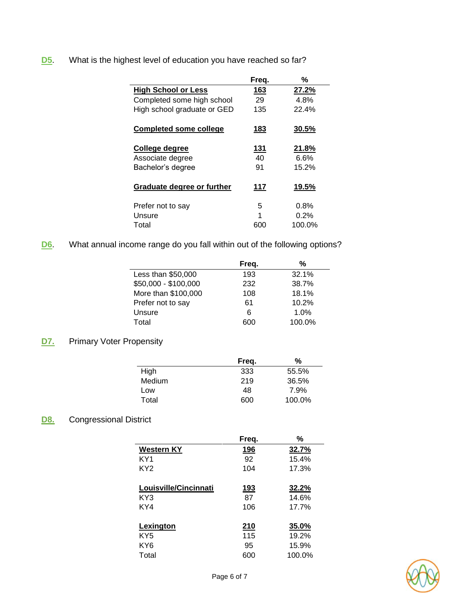# **D5**. What is the highest level of education you have reached so far?

|                               | Freq.      | %      |
|-------------------------------|------------|--------|
| <b>High School or Less</b>    | 163        | 27.2%  |
| Completed some high school    | 29         | 4.8%   |
| High school graduate or GED   | 135        | 22.4%  |
| <b>Completed some college</b> | 183        | 30.5%  |
| College degree                | <u>131</u> | 21.8%  |
| Associate degree              | 40         | 6.6%   |
| Bachelor's degree             | 91         | 15.2%  |
| Graduate degree or further    | 117        | 19.5%  |
| Prefer not to say             | 5          | 0.8%   |
| Unsure                        | 1          | 0.2%   |
| Total                         | 600        | 100.0% |

# **D6**. What annual income range do you fall within out of the following options?

|                      | Freq. | %      |
|----------------------|-------|--------|
| Less than \$50,000   | 193   | 32.1%  |
| \$50,000 - \$100,000 | 232   | 38.7%  |
| More than \$100,000  | 108   | 18.1%  |
| Prefer not to say    | 61    | 10.2%  |
| Unsure               | 6     | 1.0%   |
| Total                | 600   | 100.0% |

# **D7.** Primary Voter Propensity

|        | Freq. | %      |
|--------|-------|--------|
| High   | 333   | 55.5%  |
| Medium | 219   | 36.5%  |
| Low    | 48    | 7.9%   |
| Total  | 600   | 100.0% |

# **D8.** Congressional District

| Freq.       | %      |
|-------------|--------|
| 196         | 32.7%  |
| 92          | 15.4%  |
| 104         | 17.3%  |
|             |        |
| <u> 193</u> | 32.2%  |
| 87          | 14.6%  |
| 106         | 17.7%  |
|             |        |
| 210         | 35.0%  |
| 115         | 19.2%  |
| 95          | 15.9%  |
| 600         | 100.0% |
|             |        |